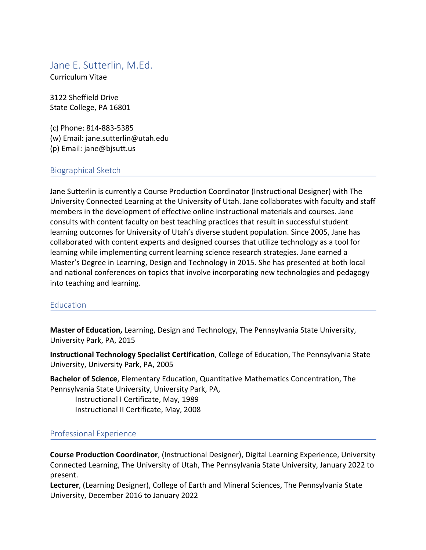# Jane E. Sutterlin, M.Ed.

Curriculum Vitae

3122 Sheffield Drive State College, PA 16801

(c) Phone: 814-883-5385 (w) Email: jane.sutterlin@utah.edu (p) Email: jane@bjsutt.us

#### Biographical Sketch

Jane Sutterlin is currently a Course Production Coordinator (Instructional Designer) with The University Connected Learning at the University of Utah. Jane collaborates with faculty and staff members in the development of effective online instructional materials and courses. Jane consults with content faculty on best teaching practices that result in successful student learning outcomes for University of Utah's diverse student population. Since 2005, Jane has collaborated with content experts and designed courses that utilize technology as a tool for learning while implementing current learning science research strategies. Jane earned a Master's Degree in Learning, Design and Technology in 2015. She has presented at both local and national conferences on topics that involve incorporating new technologies and pedagogy into teaching and learning.

#### **Education**

**Master of Education,** Learning, Design and Technology, The Pennsylvania State University, University Park, PA, 2015

**Instructional Technology Specialist Certification**, College of Education, The Pennsylvania State University, University Park, PA, 2005

**Bachelor of Science**, Elementary Education, Quantitative Mathematics Concentration, The Pennsylvania State University, University Park, PA,

Instructional I Certificate, May, 1989 Instructional II Certificate, May, 2008

### Professional Experience

**Course Production Coordinator**, (Instructional Designer), Digital Learning Experience, University Connected Learning, The University of Utah, The Pennsylvania State University, January 2022 to present.

**Lecturer**, (Learning Designer), College of Earth and Mineral Sciences, The Pennsylvania State University, December 2016 to January 2022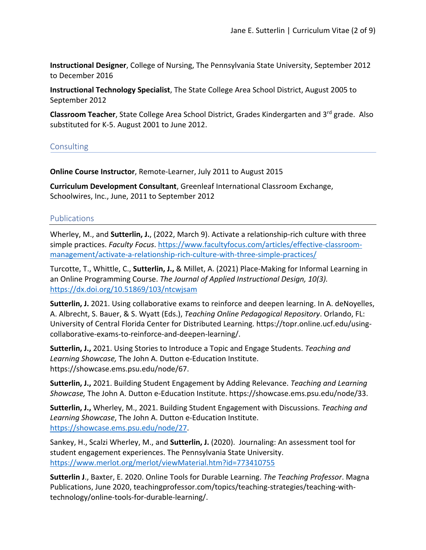**Instructional Designer**, College of Nursing, The Pennsylvania State University, September 2012 to December 2016

**Instructional Technology Specialist**, The State College Area School District, August 2005 to September 2012

**Classroom Teacher**, State College Area School District, Grades Kindergarten and 3<sup>rd</sup> grade. Also substituted for K-5. August 2001 to June 2012.

#### **Consulting**

**Online Course Instructor**, Remote-Learner, July 2011 to August 2015

**Curriculum Development Consultant**, Greenleaf International Classroom Exchange, Schoolwires, Inc., June, 2011 to September 2012

#### **Publications**

Wherley, M., and **Sutterlin, J.**, (2022, March 9). Activate a relationship-rich culture with three simple practices. *Faculty Focus*. https://www.facultyfocus.com/articles/effective-classroommanagement/activate-a-relationship-rich-culture-with-three-simple-practices/

Turcotte, T., Whittle, C., **Sutterlin, J.,** & Millet, A. (2021) Place-Making for Informal Learning in an Online Programming Course. *The Journal of Applied Instructional Design, 10(3).* https://dx.doi.org/10.51869/103/ntcwjsam

**Sutterlin, J.** 2021. Using collaborative exams to reinforce and deepen learning. In A. deNoyelles, A. Albrecht, S. Bauer, & S. Wyatt (Eds.), *Teaching Online Pedagogical Repository*. Orlando, FL: University of Central Florida Center for Distributed Learning. https://topr.online.ucf.edu/usingcollaborative-exams-to-reinforce-and-deepen-learning/.

**Sutterlin, J.,** 2021. Using Stories to Introduce a Topic and Engage Students. *Teaching and Learning Showcase,* The John A. Dutton e-Education Institute. https://showcase.ems.psu.edu/node/67.

**Sutterlin, J.,** 2021. Building Student Engagement by Adding Relevance. *Teaching and Learning Showcase,* The John A. Dutton e-Education Institute. https://showcase.ems.psu.edu/node/33.

**Sutterlin, J.,** Wherley, M., 2021. Building Student Engagement with Discussions. *Teaching and Learning Showcase*, The John A. Dutton e-Education Institute. https://showcase.ems.psu.edu/node/27.

Sankey, H., Scalzi Wherley, M., and **Sutterlin, J.** (2020).  Journaling: An assessment tool for student engagement experiences. The Pennsylvania State University.  https://www.merlot.org/merlot/viewMaterial.htm?id=773410755

**Sutterlin J**., Baxter, E. 2020. Online Tools for Durable Learning. *The Teaching Professor*. Magna Publications, June 2020, teachingprofessor.com/topics/teaching-strategies/teaching-withtechnology/online-tools-for-durable-learning/.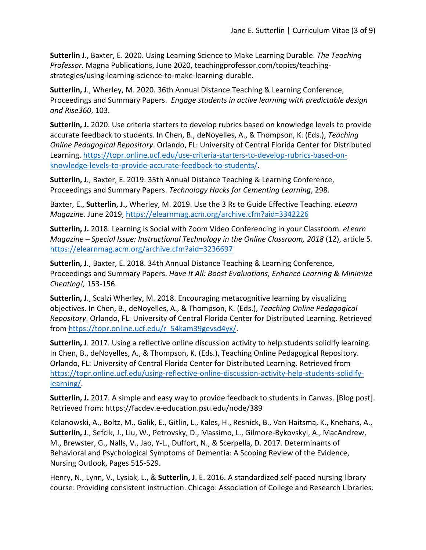**Sutterlin J**., Baxter, E. 2020. Using Learning Science to Make Learning Durable. *The Teaching Professor*. Magna Publications, June 2020, teachingprofessor.com/topics/teachingstrategies/using-learning-science-to-make-learning-durable.

**Sutterlin, J**., Wherley, M. 2020. 36th Annual Distance Teaching & Learning Conference, Proceedings and Summary Papers. *Engage students in active learning with predictable design and Rise360*, 103.

**Sutterlin, J.** 2020. Use criteria starters to develop rubrics based on knowledge levels to provide accurate feedback to students. In Chen, B., deNoyelles, A., & Thompson, K. (Eds.), *Teaching Online Pedagogical Repository*. Orlando, FL: University of Central Florida Center for Distributed Learning. https://topr.online.ucf.edu/use-criteria-starters-to-develop-rubrics-based-onknowledge-levels-to-provide-accurate-feedback-to-students/.

**Sutterlin, J**., Baxter, E. 2019. 35th Annual Distance Teaching & Learning Conference, Proceedings and Summary Papers. *Technology Hacks for Cementing Learning*, 298.

Baxter, E., **Sutterlin, J.,** Wherley, M. 2019. Use the 3 Rs to Guide Effective Teaching. *eLearn Magazine.* June 2019, https://elearnmag.acm.org/archive.cfm?aid=3342226

**Sutterlin, J.** 2018. Learning is Social with Zoom Video Conferencing in your Classroom. *eLearn Magazine – Special Issue: Instructional Technology in the Online Classroom, 2018* (12), article 5*.*  https://elearnmag.acm.org/archive.cfm?aid=3236697

**Sutterlin, J**., Baxter, E. 2018. 34th Annual Distance Teaching & Learning Conference, Proceedings and Summary Papers. *Have It All: Boost Evaluations, Enhance Learning & Minimize Cheating!,* 153-156.

**Sutterlin, J**., Scalzi Wherley, M. 2018. Encouraging metacognitive learning by visualizing objectives. In Chen, B., deNoyelles, A., & Thompson, K. (Eds.), *Teaching Online Pedagogical Repository*. Orlando, FL: University of Central Florida Center for Distributed Learning. Retrieved from https://topr.online.ucf.edu/r\_54kam39gevsd4yx/.

**Sutterlin, J**. 2017. Using a reflective online discussion activity to help students solidify learning. In Chen, B., deNoyelles, A., & Thompson, K. (Eds.), Teaching Online Pedagogical Repository. Orlando, FL: University of Central Florida Center for Distributed Learning. Retrieved from https://topr.online.ucf.edu/using-reflective-online-discussion-activity-help-students-solidifylearning/.

**Sutterlin, J.** 2017. A simple and easy way to provide feedback to students in Canvas. [Blog post]. Retrieved from: https://facdev.e-education.psu.edu/node/389

Kolanowski, A., Boltz, M., Galik, E., Gitlin, L., Kales, H., Resnick, B., Van Haitsma, K., Knehans, A., **Sutterlin, J**., Sefcik, J., Liu, W., Petrovsky, D., Massimo, L., Gilmore-Bykovskyi, A., MacAndrew, M., Brewster, G., Nalls, V., Jao, Y-L., Duffort, N., & Scerpella, D. 2017. Determinants of Behavioral and Psychological Symptoms of Dementia: A Scoping Review of the Evidence, Nursing Outlook, Pages 515-529.

Henry, N., Lynn, V., Lysiak, L., & **Sutterlin, J**. E. 2016. A standardized self-paced nursing library course: Providing consistent instruction. Chicago: Association of College and Research Libraries.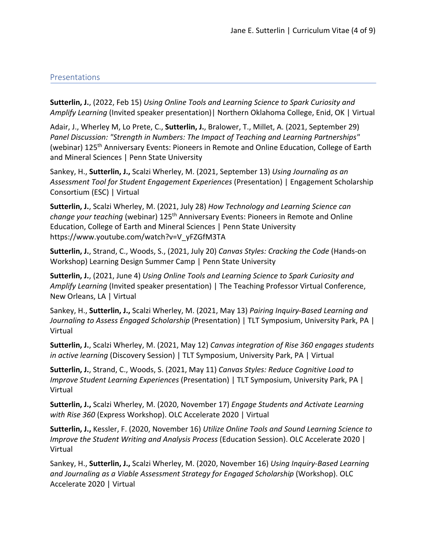#### Presentations

**Sutterlin, J.**, (2022, Feb 15) *Using Online Tools and Learning Science to Spark Curiosity and Amplify Learning* (Invited speaker presentation)| Northern Oklahoma College, Enid, OK | Virtual

Adair, J., Wherley M, Lo Prete, C., **Sutterlin, J.**, Bralower, T., Millet, A. (2021, September 29) *Panel Discussion: "Strength in Numbers: The Impact of Teaching and Learning Partnerships"*  (webinar) 125<sup>th</sup> Anniversary Events: Pioneers in Remote and Online Education, College of Earth and Mineral Sciences | Penn State University

Sankey, H., **Sutterlin, J.,** Scalzi Wherley, M. (2021, September 13) *Using Journaling as an Assessment Tool for Student Engagement Experiences* (Presentation) | Engagement Scholarship Consortium (ESC) | Virtual

**Sutterlin, J.**, Scalzi Wherley, M. (2021, July 28) *How Technology and Learning Science can change your teaching* (webinar) 125th Anniversary Events: Pioneers in Remote and Online Education, College of Earth and Mineral Sciences | Penn State University https://www.youtube.com/watch?v=V\_yFZGfM3TA

**Sutterlin, J.**, Strand, C., Woods, S., (2021, July 20) *Canvas Styles: Cracking the Code* (Hands-on Workshop) Learning Design Summer Camp | Penn State University

**Sutterlin, J.**, (2021, June 4) *Using Online Tools and Learning Science to Spark Curiosity and Amplify Learning* (Invited speaker presentation) | The Teaching Professor Virtual Conference, New Orleans, LA | Virtual

Sankey, H., **Sutterlin, J.,** Scalzi Wherley, M. (2021, May 13) *Pairing Inquiry-Based Learning and Journaling to Assess Engaged Scholarship* (Presentation) | TLT Symposium, University Park, PA | Virtual

**Sutterlin, J.**, Scalzi Wherley, M. (2021, May 12) *Canvas integration of Rise 360 engages students in active learning* (Discovery Session) | TLT Symposium, University Park, PA | Virtual

**Sutterlin, J.**, Strand, C., Woods, S. (2021, May 11) *Canvas Styles: Reduce Cognitive Load to Improve Student Learning Experiences* (Presentation) | TLT Symposium, University Park, PA | Virtual

**Sutterlin, J.,** Scalzi Wherley, M. (2020, November 17) *Engage Students and Activate Learning with Rise 360* (Express Workshop). OLC Accelerate 2020 | Virtual

**Sutterlin, J.,** Kessler, F. (2020, November 16) *Utilize Online Tools and Sound Learning Science to Improve the Student Writing and Analysis Process* (Education Session). OLC Accelerate 2020 | Virtual

Sankey, H., **Sutterlin, J.,** Scalzi Wherley, M. (2020, November 16) *Using Inquiry-Based Learning and Journaling as a Viable Assessment Strategy for Engaged Scholarship* (Workshop). OLC Accelerate 2020 | Virtual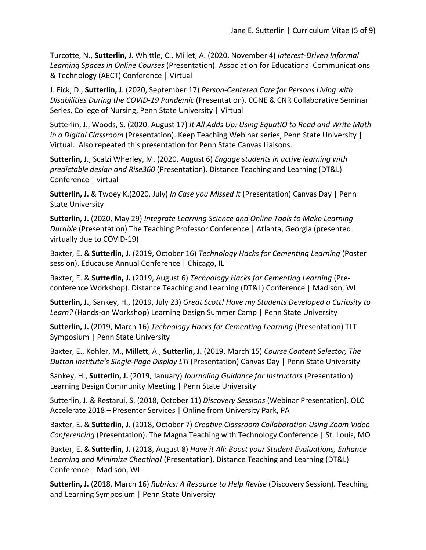Turcotte, N., **Sutterlin, J**. Whittle, C., Millet, A. (2020, November 4) *Interest-Driven Informal Learning Spaces in Online Courses* (Presentation). Association for Educational Communications & Technology (AECT) Conference | Virtual

J. Fick, D., **Sutterlin, J**. (2020, September 17) *Person-Centered Care for Persons Living with Disabilities During the COVID-19 Pandemic* (Presentation). CGNE & CNR Collaborative Seminar Series, College of Nursing, Penn State University | Virtual

Sutterlin, J., Woods, S. (2020, August 17) *It All Adds Up: Using EquatIO to Read and Write Math in a Digital Classroom* (Presentation). Keep Teaching Webinar series, Penn State University | Virtual. Also repeated this presentation for Penn State Canvas Liaisons.

**Sutterlin, J**., Scalzi Wherley, M. (2020, August 6) *Engage students in active learning with predictable design and Rise360* (Presentation). Distance Teaching and Learning (DT&L) Conference | virtual

**Sutterlin, J.** & Twoey K.(2020, July) *In Case you Missed It* (Presentation) Canvas Day | Penn State University

**Sutterlin, J.** (2020, May 29) *Integrate Learning Science and Online Tools to Make Learning Durable* (Presentation) The Teaching Professor Conference | Atlanta, Georgia (presented virtually due to COVID-19)

Baxter, E. & **Sutterlin, J.** (2019, October 16) *Technology Hacks for Cementing Learning* (Poster session). Educause Annual Conference | Chicago, IL

Baxter, E. & **Sutterlin, J.** (2019, August 6) *Technology Hacks for Cementing Learning* (Preconference Workshop). Distance Teaching and Learning (DT&L) Conference | Madison, WI

**Sutterlin, J.**, Sankey, H., (2019, July 23) *Great Scott! Have my Students Developed a Curiosity to Learn?* (Hands-on Workshop) Learning Design Summer Camp | Penn State University

**Sutterlin, J.** (2019, March 16) *Technology Hacks for Cementing Learning* (Presentation) TLT Symposium | Penn State University

Baxter, E., Kohler, M., Millett, A., **Sutterlin, J.** (2019, March 15) *Course Content Selector, The Dutton Institute's Single-Page Display LTI* (Presentation) Canvas Day | Penn State University

Sankey, H., **Sutterlin, J.** (2019, January) *Journaling Guidance for Instructors* (Presentation) Learning Design Community Meeting | Penn State University

Sutterlin, J. & Restarui, S. (2018, October 11) *Discovery Sessions* (Webinar Presentation). OLC Accelerate 2018 – Presenter Services | Online from University Park, PA

Baxter, E. & **Sutterlin, J.** (2018, October 7) *Creative Classroom Collaboration Using Zoom Video Conferencing* (Presentation). The Magna Teaching with Technology Conference | St. Louis, MO

Baxter, E. & **Sutterlin, J.** (2018, August 8) *Have it All: Boost your Student Evaluations, Enhance Learning and Minimize Cheating!* (Presentation). Distance Teaching and Learning (DT&L) Conference | Madison, WI

**Sutterlin, J.** (2018, March 16) *Rubrics: A Resource to Help Revise* (Discovery Session). Teaching and Learning Symposium | Penn State University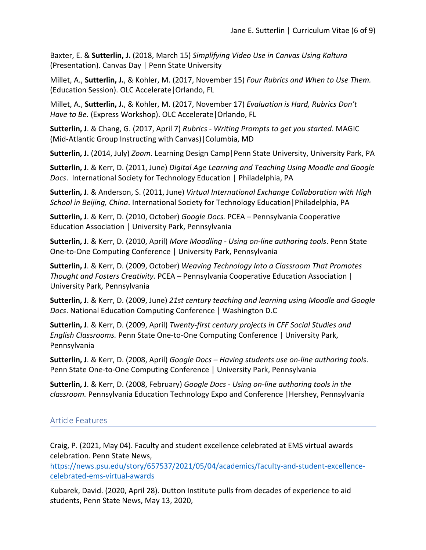Baxter, E. & **Sutterlin, J.** (2018, March 15) *Simplifying Video Use in Canvas Using Kaltura* (Presentation). Canvas Day | Penn State University

Millet, A., **Sutterlin, J.**, & Kohler, M. (2017, November 15) *Four Rubrics and When to Use Them.* (Education Session). OLC Accelerate|Orlando, FL

Millet, A., **Sutterlin, J.**, & Kohler, M. (2017, November 17) *Evaluation is Hard, Rubrics Don't Have to Be.* (Express Workshop). OLC Accelerate|Orlando, FL

**Sutterlin, J**. & Chang, G. (2017, April 7) *Rubrics - Writing Prompts to get you started*. MAGIC (Mid-Atlantic Group Instructing with Canvas)|Columbia, MD

**Sutterlin, J.** (2014, July) *Zoom*. Learning Design Camp|Penn State University, University Park, PA

**Sutterlin, J**. & Kerr, D. (2011, June) *Digital Age Learning and Teaching Using Moodle and Google Docs*. International Society for Technology Education | Philadelphia, PA

**Sutterlin, J**. & Anderson, S. (2011, June) *Virtual International Exchange Collaboration with High School in Beijing, China*. International Society for Technology Education|Philadelphia, PA

**Sutterlin, J**. & Kerr, D. (2010, October) *Google Docs.* PCEA – Pennsylvania Cooperative Education Association | University Park, Pennsylvania

**Sutterlin, J**. & Kerr, D. (2010, April) *More Moodling - Using on-line authoring tools*. Penn State One-to-One Computing Conference | University Park, Pennsylvania

**Sutterlin, J**. & Kerr, D. (2009, October) *Weaving Technology Into a Classroom That Promotes Thought and Fosters Creativity.* PCEA – Pennsylvania Cooperative Education Association | University Park, Pennsylvania

**Sutterlin, J**. & Kerr, D. (2009, June) *21st century teaching and learning using Moodle and Google Docs*. National Education Computing Conference | Washington D.C

**Sutterlin, J**. & Kerr, D. (2009, April) *Twenty-first century projects in CFF Social Studies and English Classrooms.* Penn State One-to-One Computing Conference | University Park, Pennsylvania

**Sutterlin, J**. & Kerr, D. (2008, April) *Google Docs – Having students use on-line authoring tools*. Penn State One-to-One Computing Conference | University Park, Pennsylvania

**Sutterlin, J**. & Kerr, D. (2008, February) *Google Docs - Using on-line authoring tools in the classroom.* Pennsylvania Education Technology Expo and Conference |Hershey, Pennsylvania

# Article Features

Craig, P. (2021, May 04). Faculty and student excellence celebrated at EMS virtual awards celebration. Penn State News,

https://news.psu.edu/story/657537/2021/05/04/academics/faculty-and-student-excellencecelebrated-ems-virtual-awards

Kubarek, David. (2020, April 28). Dutton Institute pulls from decades of experience to aid students, Penn State News, May 13, 2020,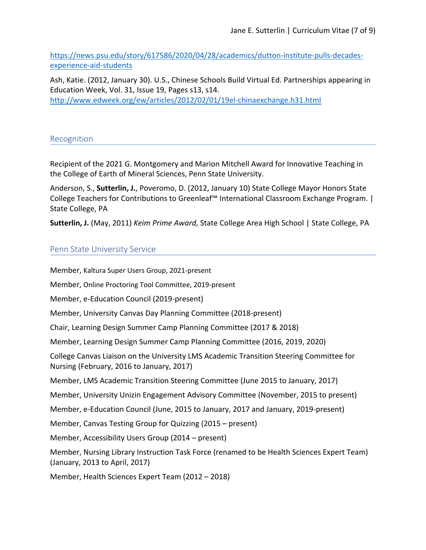https://news.psu.edu/story/617586/2020/04/28/academics/dutton-institute-pulls-decadesexperience-aid-students

Ash, Katie. (2012, January 30). U.S., Chinese Schools Build Virtual Ed. Partnerships appearing in Education Week, Vol. 31, Issue 19, Pages s13, s14. http://www.edweek.org/ew/articles/2012/02/01/19el-chinaexchange.h31.html

#### Recognition

Recipient of the 2021 G. Montgomery and Marion Mitchell Award for Innovative Teaching in the College of Earth of Mineral Sciences, Penn State University.

Anderson, S., **Sutterlin, J.**, Poveromo, D. (2012, January 10) State College Mayor Honors State College Teachers for Contributions to Greenleaf™ International Classroom Exchange Program. | State College, PA

**Sutterlin, J.** (May, 2011) *Keim Prime Award,* State College Area High School | State College, PA

#### Penn State University Service

Member, Kaltura Super Users Group, 2021-present Member, Online Proctoring Tool Committee, 2019-present Member, e-Education Council (2019-present) Member, University Canvas Day Planning Committee (2018-present) Chair, Learning Design Summer Camp Planning Committee (2017 & 2018) Member, Learning Design Summer Camp Planning Committee (2016, 2019, 2020) College Canvas Liaison on the University LMS Academic Transition Steering Committee for Nursing (February, 2016 to January, 2017) Member, LMS Academic Transition Steering Committee (June 2015 to January, 2017) Member, University Unizin Engagement Advisory Committee (November, 2015 to present) Member, e-Education Council (June, 2015 to January, 2017 and January, 2019-present) Member, Canvas Testing Group for Quizzing (2015 – present) Member, Accessibility Users Group (2014 – present) Member, Nursing Library Instruction Task Force (renamed to be Health Sciences Expert Team) (January, 2013 to April, 2017) Member, Health Sciences Expert Team (2012 – 2018)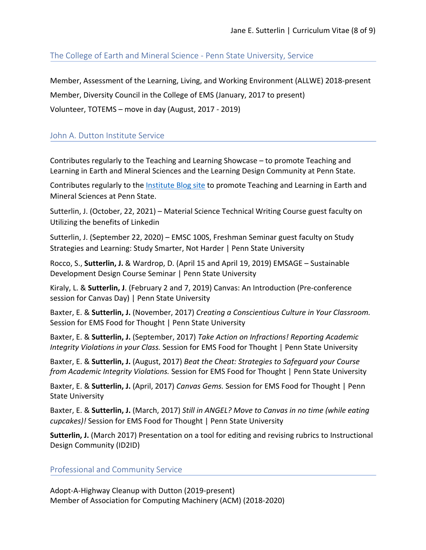The College of Earth and Mineral Science - Penn State University, Service

Member, Assessment of the Learning, Living, and Working Environment (ALLWE) 2018-present Member, Diversity Council in the College of EMS (January, 2017 to present) Volunteer, TOTEMS – move in day (August, 2017 - 2019)

## John A. Dutton Institute Service

Contributes regularly to the Teaching and Learning Showcase – to promote Teaching and Learning in Earth and Mineral Sciences and the Learning Design Community at Penn State.

Contributes regularly to the **Institute Blog site to promote Teaching and Learning in Earth and** Mineral Sciences at Penn State.

Sutterlin, J. (October, 22, 2021) – Material Science Technical Writing Course guest faculty on Utilizing the benefits of Linkedin

Sutterlin, J. (September 22, 2020) – EMSC 100S, Freshman Seminar guest faculty on Study Strategies and Learning: Study Smarter, Not Harder | Penn State University

Rocco, S., **Sutterlin, J.** & Wardrop, D. (April 15 and April 19, 2019) EMSAGE – Sustainable Development Design Course Seminar | Penn State University

Kiraly, L. & **Sutterlin, J**. (February 2 and 7, 2019) Canvas: An Introduction (Pre-conference session for Canvas Day) | Penn State University

Baxter, E. & **Sutterlin, J.** (November, 2017) *Creating a Conscientious Culture in Your Classroom.* Session for EMS Food for Thought | Penn State University

Baxter, E. & **Sutterlin, J.** (September, 2017) *Take Action on Infractions! Reporting Academic Integrity Violations in your Class.* Session for EMS Food for Thought | Penn State University

Baxter, E. & **Sutterlin, J.** (August, 2017) *Beat the Cheat: Strategies to Safeguard your Course from Academic Integrity Violations.* Session for EMS Food for Thought | Penn State University

Baxter, E. & **Sutterlin, J.** (April, 2017) *Canvas Gems.* Session for EMS Food for Thought | Penn State University

Baxter, E. & **Sutterlin, J.** (March, 2017) *Still in ANGEL? Move to Canvas in no time (while eating cupcakes)!* Session for EMS Food for Thought | Penn State University

**Sutterlin, J.** (March 2017) Presentation on a tool for editing and revising rubrics to Instructional Design Community (ID2ID)

Professional and Community Service

Adopt-A-Highway Cleanup with Dutton (2019-present) Member of Association for Computing Machinery (ACM) (2018-2020)